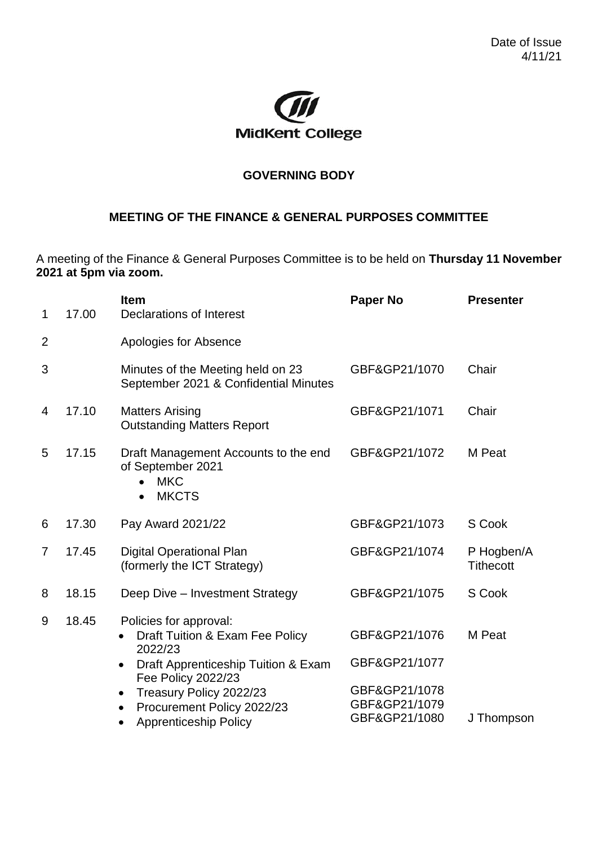

## **GOVERNING BODY**

## **MEETING OF THE FINANCE & GENERAL PURPOSES COMMITTEE**

A meeting of the Finance & General Purposes Committee is to be held on **Thursday 11 November 2021 at 5pm via zoom.**

| 1              | 17.00 | <b>Item</b><br>Declarations of Interest                                                                                                                                                                              | <b>Presenter</b>                                                                  |                                |
|----------------|-------|----------------------------------------------------------------------------------------------------------------------------------------------------------------------------------------------------------------------|-----------------------------------------------------------------------------------|--------------------------------|
| $\overline{2}$ |       | Apologies for Absence                                                                                                                                                                                                |                                                                                   |                                |
| 3              |       | Minutes of the Meeting held on 23<br>September 2021 & Confidential Minutes                                                                                                                                           | GBF&GP21/1070                                                                     | Chair                          |
| 4              | 17.10 | <b>Matters Arising</b><br><b>Outstanding Matters Report</b>                                                                                                                                                          | GBF&GP21/1071                                                                     | Chair                          |
| 5              | 17.15 | Draft Management Accounts to the end<br>of September 2021<br><b>MKC</b><br>$\bullet$<br><b>MKCTS</b><br>$\bullet$                                                                                                    | GBF&GP21/1072                                                                     | M Peat                         |
| 6              | 17.30 | Pay Award 2021/22                                                                                                                                                                                                    | GBF&GP21/1073                                                                     | S Cook                         |
| $\overline{7}$ | 17.45 | <b>Digital Operational Plan</b><br>(formerly the ICT Strategy)                                                                                                                                                       | GBF&GP21/1074                                                                     | P Hogben/A<br><b>Tithecott</b> |
| 8              | 18.15 | Deep Dive - Investment Strategy                                                                                                                                                                                      | GBF&GP21/1075                                                                     | S Cook                         |
| 9              | 18.45 | Policies for approval:<br>Draft Tuition & Exam Fee Policy<br>2022/23<br>Draft Apprenticeship Tuition & Exam<br>$\bullet$<br>Fee Policy 2022/23<br>Treasury Policy 2022/23<br>$\bullet$<br>Procurement Policy 2022/23 | GBF&GP21/1076<br>GBF&GP21/1077<br>GBF&GP21/1078<br>GBF&GP21/1079<br>GBF&GP21/1080 | M Peat                         |
|                |       | <b>Apprenticeship Policy</b><br>$\bullet$                                                                                                                                                                            |                                                                                   | J Thompson                     |